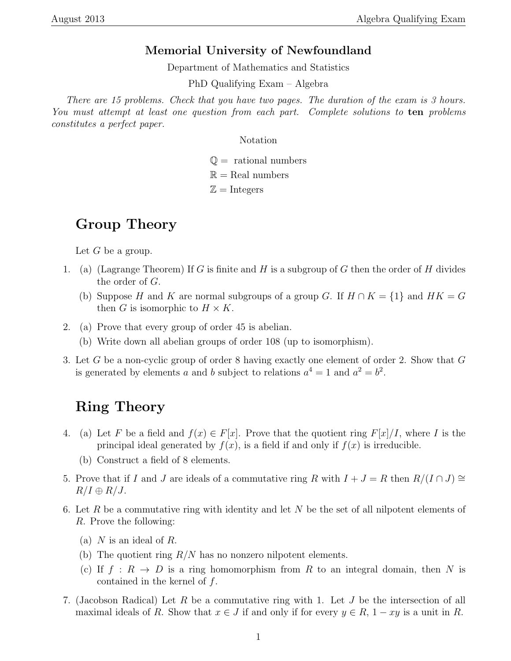#### Memorial University of Newfoundland

Department of Mathematics and Statistics

PhD Qualifying Exam – Algebra

There are 15 problems. Check that you have two pages. The duration of the exam is 3 hours. You must attempt at least one question from each part. Complete solutions to ten problems constitutes a perfect paper.

Notation

 $\mathbb{Q}$  = rational numbers

 $\mathbb{R} =$ Real numbers

 $\mathbb{Z} =$ Integers

# Group Theory

Let  $G$  be a group.

- 1. (a) (Lagrange Theorem) If G is finite and H is a subgroup of G then the order of H divides the order of G.
	- (b) Suppose H and K are normal subgroups of a group G. If  $H \cap K = \{1\}$  and  $HK = G$ then G is isomorphic to  $H \times K$ .
- 2. (a) Prove that every group of order 45 is abelian.
	- (b) Write down all abelian groups of order 108 (up to isomorphism).
- 3. Let G be a non-cyclic group of order 8 having exactly one element of order 2. Show that G is generated by elements a and b subject to relations  $a^4 = 1$  and  $a^2 = b^2$ .

## Ring Theory

- 4. (a) Let F be a field and  $f(x) \in F[x]$ . Prove that the quotient ring  $F[x]/I$ , where I is the principal ideal generated by  $f(x)$ , is a field if and only if  $f(x)$  is irreducible.
	- (b) Construct a field of 8 elements.
- 5. Prove that if I and J are ideals of a commutative ring R with  $I + J = R$  then  $R/(I \cap J) \cong$  $R/I \oplus R/J$ .
- 6. Let R be a commutative ring with identity and let N be the set of all nilpotent elements of R. Prove the following:
	- (a)  $N$  is an ideal of  $R$ .
	- (b) The quotient ring  $R/N$  has no nonzero nilpotent elements.
	- (c) If  $f : R \to D$  is a ring homomorphism from R to an integral domain, then N is contained in the kernel of  $f$ .
- 7. (Jacobson Radical) Let R be a commutative ring with 1. Let J be the intersection of all maximal ideals of R. Show that  $x \in J$  if and only if for every  $y \in R$ ,  $1 - xy$  is a unit in R.